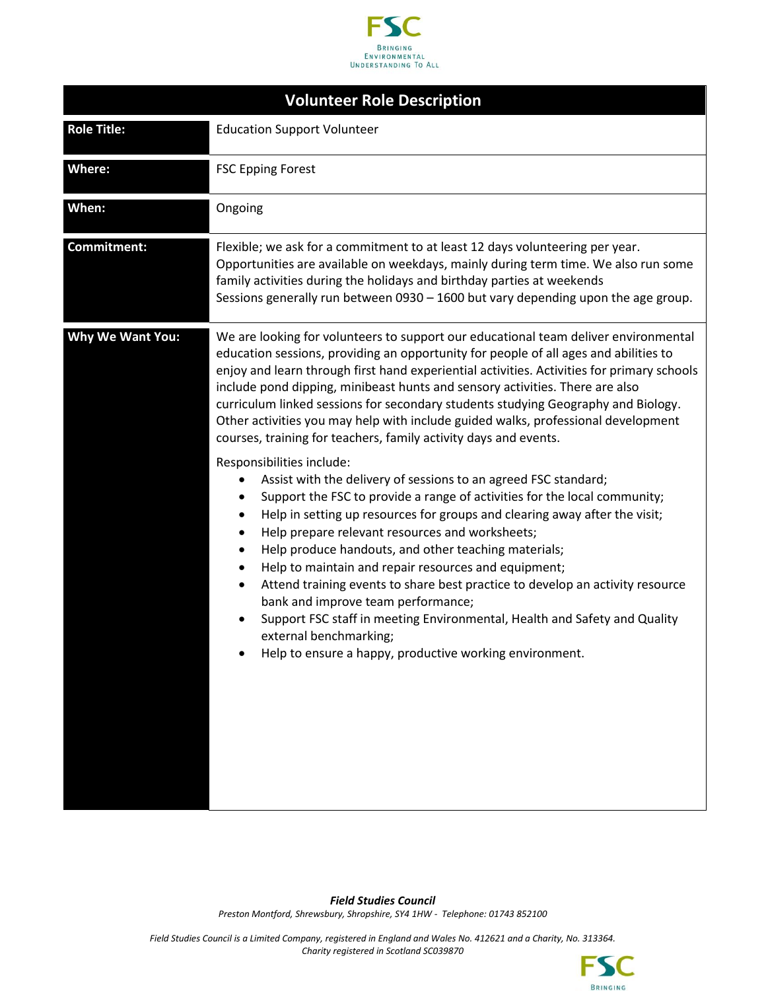

| <b>Volunteer Role Description</b> |                                                                                                                                                                                                                                                                                                                                                                                                                                                                                                                                                                                                                                                                                                                                                                                                                                                                                                                                                                                                                                                                                                                                                                                                                                                                                                                                                                                                              |  |
|-----------------------------------|--------------------------------------------------------------------------------------------------------------------------------------------------------------------------------------------------------------------------------------------------------------------------------------------------------------------------------------------------------------------------------------------------------------------------------------------------------------------------------------------------------------------------------------------------------------------------------------------------------------------------------------------------------------------------------------------------------------------------------------------------------------------------------------------------------------------------------------------------------------------------------------------------------------------------------------------------------------------------------------------------------------------------------------------------------------------------------------------------------------------------------------------------------------------------------------------------------------------------------------------------------------------------------------------------------------------------------------------------------------------------------------------------------------|--|
| <b>Role Title:</b>                | <b>Education Support Volunteer</b>                                                                                                                                                                                                                                                                                                                                                                                                                                                                                                                                                                                                                                                                                                                                                                                                                                                                                                                                                                                                                                                                                                                                                                                                                                                                                                                                                                           |  |
| <b>Where:</b>                     | <b>FSC Epping Forest</b>                                                                                                                                                                                                                                                                                                                                                                                                                                                                                                                                                                                                                                                                                                                                                                                                                                                                                                                                                                                                                                                                                                                                                                                                                                                                                                                                                                                     |  |
| When:                             | Ongoing                                                                                                                                                                                                                                                                                                                                                                                                                                                                                                                                                                                                                                                                                                                                                                                                                                                                                                                                                                                                                                                                                                                                                                                                                                                                                                                                                                                                      |  |
| Commitment:                       | Flexible; we ask for a commitment to at least 12 days volunteering per year.<br>Opportunities are available on weekdays, mainly during term time. We also run some<br>family activities during the holidays and birthday parties at weekends<br>Sessions generally run between 0930 - 1600 but vary depending upon the age group.                                                                                                                                                                                                                                                                                                                                                                                                                                                                                                                                                                                                                                                                                                                                                                                                                                                                                                                                                                                                                                                                            |  |
| <b>Why We Want You:</b>           | We are looking for volunteers to support our educational team deliver environmental<br>education sessions, providing an opportunity for people of all ages and abilities to<br>enjoy and learn through first hand experiential activities. Activities for primary schools<br>include pond dipping, minibeast hunts and sensory activities. There are also<br>curriculum linked sessions for secondary students studying Geography and Biology.<br>Other activities you may help with include guided walks, professional development<br>courses, training for teachers, family activity days and events.<br>Responsibilities include:<br>Assist with the delivery of sessions to an agreed FSC standard;<br>Support the FSC to provide a range of activities for the local community;<br>Help in setting up resources for groups and clearing away after the visit;<br>$\bullet$<br>Help prepare relevant resources and worksheets;<br>$\bullet$<br>Help produce handouts, and other teaching materials;<br>$\bullet$<br>Help to maintain and repair resources and equipment;<br>$\bullet$<br>Attend training events to share best practice to develop an activity resource<br>$\bullet$<br>bank and improve team performance;<br>Support FSC staff in meeting Environmental, Health and Safety and Quality<br>$\bullet$<br>external benchmarking;<br>Help to ensure a happy, productive working environment. |  |
|                                   |                                                                                                                                                                                                                                                                                                                                                                                                                                                                                                                                                                                                                                                                                                                                                                                                                                                                                                                                                                                                                                                                                                                                                                                                                                                                                                                                                                                                              |  |